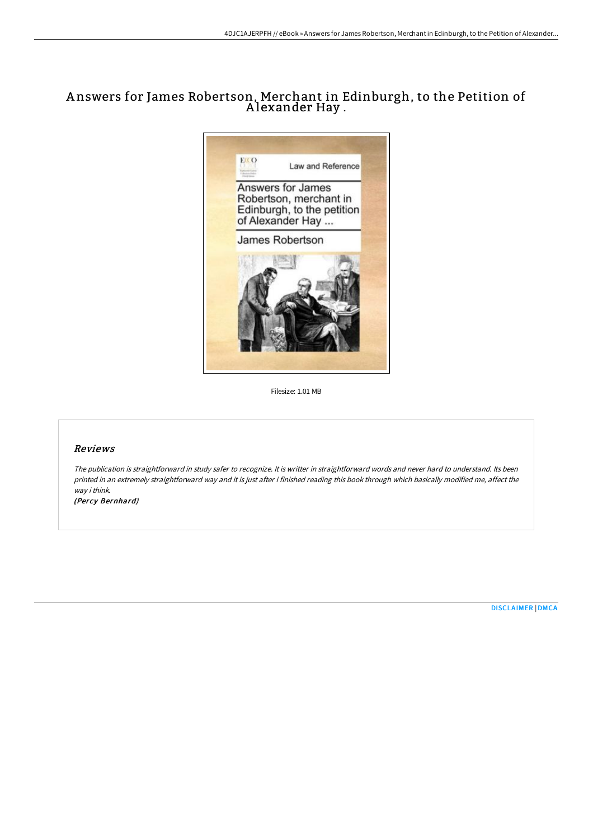# A nswers for James Robertson, Merchant in Edinburgh, to the Petition of A lexander Hay .



Filesize: 1.01 MB

## Reviews

The publication is straightforward in study safer to recognize. It is writter in straightforward words and never hard to understand. Its been printed in an extremely straightforward way and it is just after i finished reading this book through which basically modified me, affect the way i think.

(Percy Bernhard)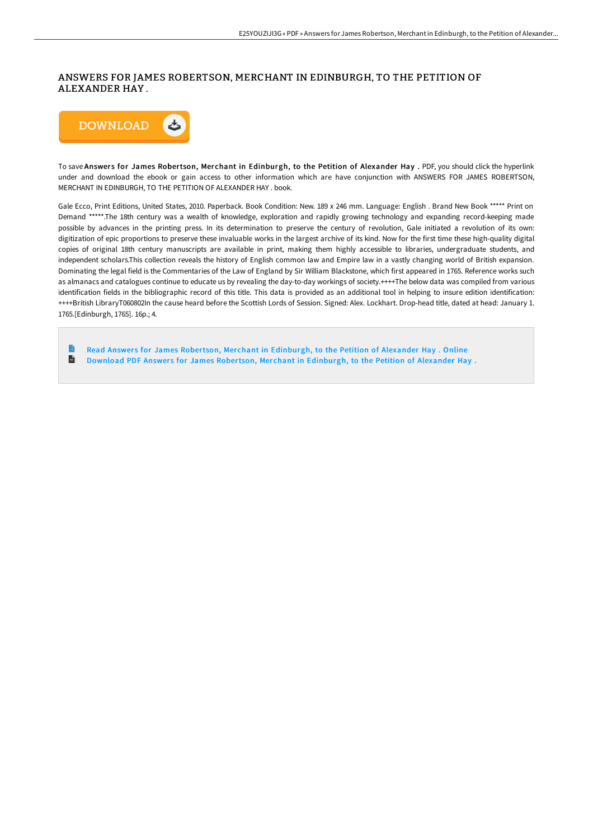# ANSWERS FOR JAMES ROBERTSON, MERCHANT IN EDINBURGH, TO THE PETITION OF ALEXANDER HAY .



To save Answers for James Robertson, Merchant in Edinburgh, to the Petition of Alexander Hay . PDF, you should click the hyperlink under and download the ebook or gain access to other information which are have conjunction with ANSWERS FOR JAMES ROBERTSON, MERCHANT IN EDINBURGH, TO THE PETITION OF ALEXANDER HAY . book.

Gale Ecco, Print Editions, United States, 2010. Paperback. Book Condition: New. 189 x 246 mm. Language: English . Brand New Book \*\*\*\*\* Print on Demand \*\*\*\*\*.The 18th century was a wealth of knowledge, exploration and rapidly growing technology and expanding record-keeping made possible by advances in the printing press. In its determination to preserve the century of revolution, Gale initiated a revolution of its own: digitization of epic proportions to preserve these invaluable works in the largest archive of its kind. Now for the first time these high-quality digital copies of original 18th century manuscripts are available in print, making them highly accessible to libraries, undergraduate students, and independent scholars.This collection reveals the history of English common law and Empire law in a vastly changing world of British expansion. Dominating the legal field is the Commentaries of the Law of England by Sir William Blackstone, which first appeared in 1765. Reference works such as almanacs and catalogues continue to educate us by revealing the day-to-day workings of society.++++The below data was compiled from various identification fields in the bibliographic record of this title. This data is provided as an additional tool in helping to insure edition identification: ++++British LibraryT060802In the cause heard before the Scottish Lords of Session. Signed: Alex. Lockhart. Drop-head title, dated at head: January 1. 1765.[Edinburgh, 1765]. 16p.; 4.

Read Answers for James Robertson, Merchant in [Edinburgh,](http://www.bookdirs.com/answers-for-james-robertson-merchant-in-edinburg.html) to the Petition of Alexander Hay . Online  $\frac{1}{10}$ Download PDF Answers for James Robertson, Merchant in [Edinburgh,](http://www.bookdirs.com/answers-for-james-robertson-merchant-in-edinburg.html) to the Petition of Alexander Hay.